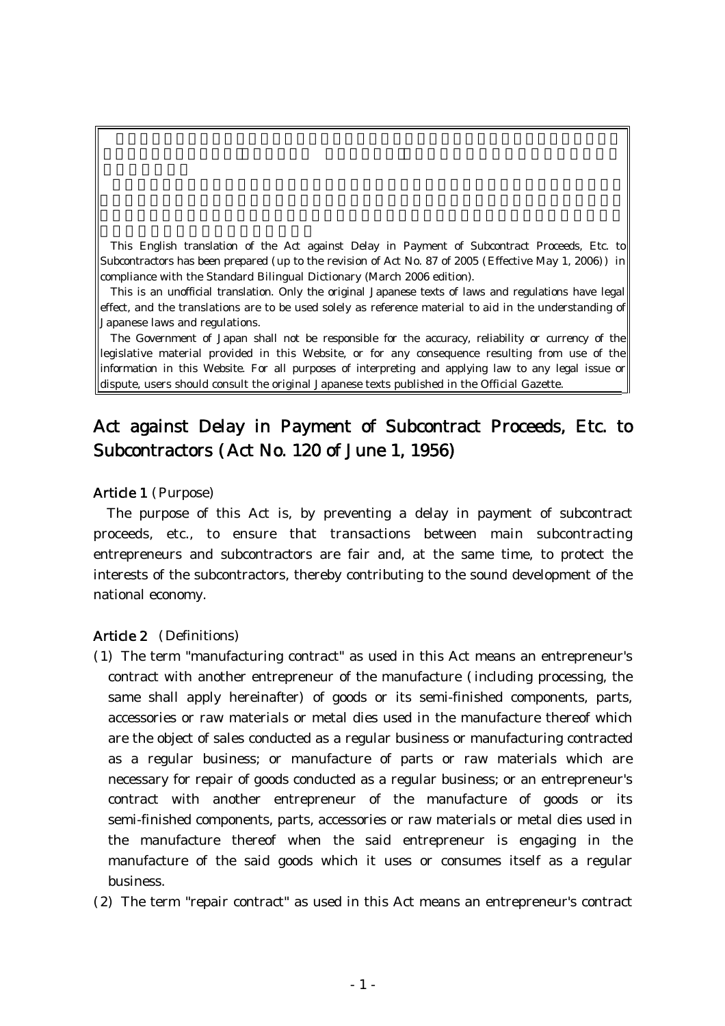This English translation of the Act against Delay in Payment of Subcontract Proceeds, Etc. to Subcontractors has been prepared (up to the revision of Act No. 87 of 2005 (Effective May 1, 2006)) in compliance with the Standard Bilingual Dictionary (March 2006 edition).

This is an unofficial translation. Only the original Japanese texts of laws and regulations have legal effect, and the translations are to be used solely as reference material to aid in the understanding of Japanese laws and regulations.

The Government of Japan shall not be responsible for the accuracy, reliability or currency of the legislative material provided in this Website, or for any consequence resulting from use of the information in this Website. For all purposes of interpreting and applying law to any legal issue or dispute, users should consult the original Japanese texts published in the Official Gazette.

# Act against Delay in Payment of Subcontract Proceeds, Etc. to Subcontractors (Act No. 120 of June 1, 1956)

## Article 1 (Purpose)

The purpose of this Act is, by preventing a delay in payment of subcontract proceeds, etc., to ensure that transactions between main subcontracting entrepreneurs and subcontractors are fair and, at the same time, to protect the interests of the subcontractors, thereby contributing to the sound development of the national economy.

# Article 2 (Definitions)

- ( )1 The term "manufacturing contract" as used in this Act means an entrepreneur's contract with another entrepreneur of the manufacture (including processing, the same shall apply hereinafter) of goods or its semi-finished components, parts, accessories or raw materials or metal dies used in the manufacture thereof which are the object of sales conducted as a regular business or manufacturing contracted as a regular business; or manufacture of parts or raw materials which are necessary for repair of goods conducted as a regular business; or an entrepreneur's contract with another entrepreneur of the manufacture of goods or its semi-finished components, parts, accessories or raw materials or metal dies used in the manufacture thereof when the said entrepreneur is engaging in the manufacture of the said goods which it uses or consumes itself as a regular business.
- (2) The term "repair contract" as used in this Act means an entrepreneur's contract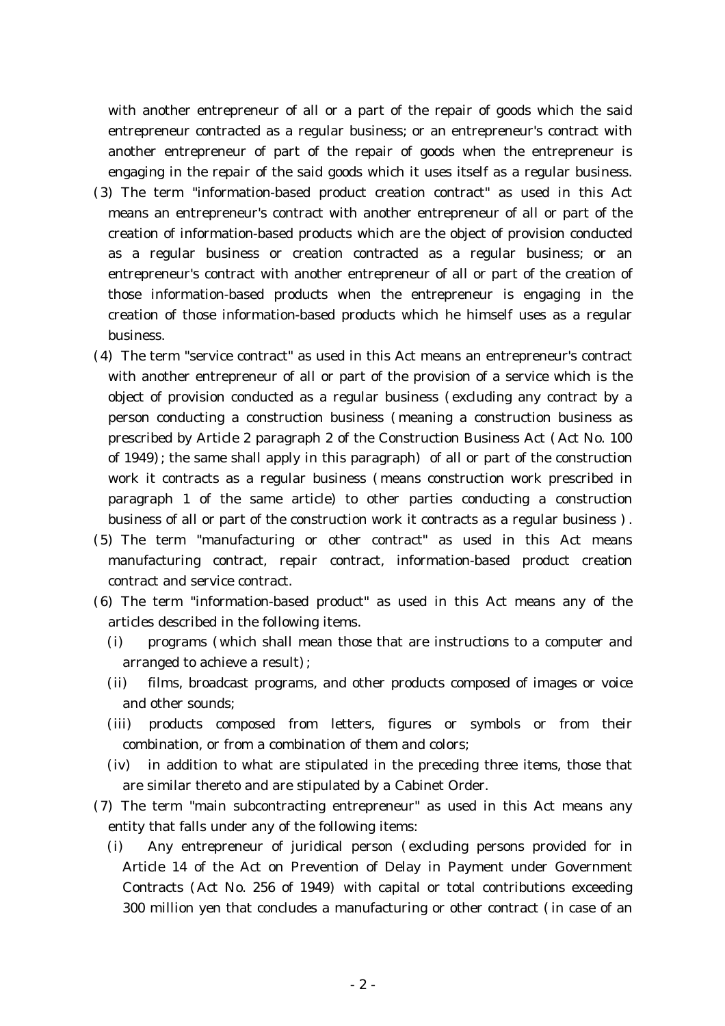with another entrepreneur of all or a part of the repair of goods which the said entrepreneur contracted as a regular business; or an entrepreneur's contract with another entrepreneur of part of the repair of goods when the entrepreneur is engaging in the repair of the said goods which it uses itself as a regular business.

- (3) The term "information-based product creation contract" as used in this Act means an entrepreneur's contract with another entrepreneur of all or part of the creation of information-based products which are the object of provision conducted as a regular business or creation contracted as a regular business; or an entrepreneur's contract with another entrepreneur of all or part of the creation of those information-based products when the entrepreneur is engaging in the creation of those information-based products which he himself uses as a regular business.
- (4) The term "service contract" as used in this Act means an entrepreneur's contract with another entrepreneur of all or part of the provision of a service which is the object of provision conducted as a regular business (excluding any contract by a person conducting a construction business (meaning a construction business as prescribed by Article 2 paragraph 2 of the Construction Business Act  $(Act No. 100$ of 1949); the same shall apply in this paragraph) of all or part of the construction work it contracts as a regular business (means construction work prescribed in paragraph 1 of the same article) to other parties conducting a construction business of all or part of the construction work it contracts as a regular business).
- $(5)$  The term "manufacturing or other contract" as used in this Act means manufacturing contract, repair contract, information-based product creation contract and service contract.
- (6) The term "information-based product" as used in this Act means any of the articles described in the following items.
	- (i) programs (which shall mean those that are instructions to a computer and arranged to achieve a result);
	- (ii) films, broadcast programs, and other products composed of images or voice and other sounds;
	- (iii) products composed from letters, figures or symbols or from their combination, or from a combination of them and colors;
	- (iv) in addition to what are stipulated in the preceding three items, those that are similar thereto and are stipulated by a Cabinet Order.
- $(7)$  The term "main subcontracting entrepreneur" as used in this Act means any entity that falls under any of the following items:
	- (i) Any entrepreneur of juridical person (excluding persons provided for in Article 14 of the Act on Prevention of Delay in Payment under Government Contracts (Act No. 256 of 1949) with capital or total contributions exceeding 300 million yen that concludes a manufacturing or other contract (in case of an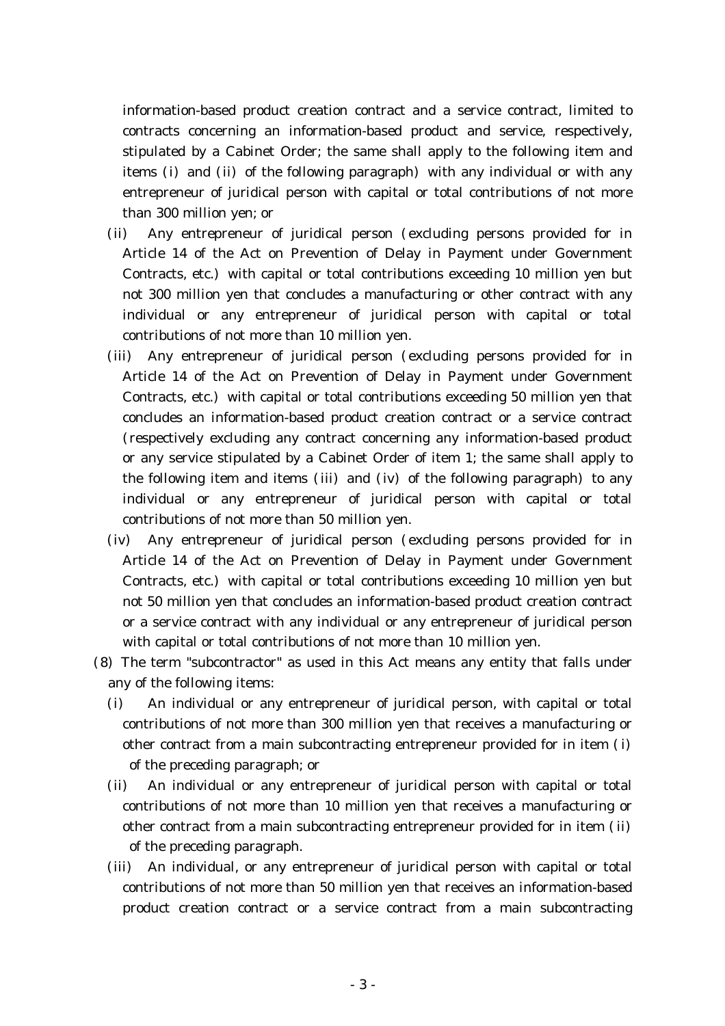information-based product creation contract and a service contract, limited to contracts concerning an information-based product and service, respectively, stipulated by a Cabinet Order; the same shall apply to the following item and items (i) and (ii) of the following paragraph) with any individual or with any entrepreneur of juridical person with capital or total contributions of not more than 300 million yen; or

- (ii) Any entrepreneur of juridical person (excluding persons provided for in Article 14 of the Act on Prevention of Delay in Payment under Government Contracts, etc.) with capital or total contributions exceeding 10 million yen but not 300 million yen that concludes a manufacturing or other contract with any individual or any entrepreneur of juridical person with capital or total contributions of not more than 10 million yen.
- (iii) Any entrepreneur of juridical person (excluding persons provided for in Article 14 of the Act on Prevention of Delay in Payment under Government Contracts, etc.) with capital or total contributions exceeding 50 million yen that concludes an information-based product creation contract or a service contract (respectively excluding any contract concerning any information-based product or any service stipulated by a Cabinet Order of item 1; the same shall apply to the following item and items (iii) and (iv) of the following paragraph) to any individual or any entrepreneur of juridical person with capital or total contributions of not more than 50 million yen.
- $(iv)$  Any entrepreneur of juridical person (excluding persons provided for in Article 14 of the Act on Prevention of Delay in Payment under Government Contracts, etc.) with capital or total contributions exceeding 10 million yen but not 50 million yen that concludes an information-based product creation contract or a service contract with any individual or any entrepreneur of juridical person with capital or total contributions of not more than 10 million yen.
- $(8)$  The term "subcontractor" as used in this Act means any entity that falls under any of the following items:
	- $(i)$  An individual or any entrepreneur of juridical person, with capital or total contributions of not more than 300 million yen that receives a manufacturing or other contract from a main subcontracting entrepreneur provided for in item (i) of the preceding paragraph; or
	- (ii) An individual or any entrepreneur of juridical person with capital or total contributions of not more than 10 million yen that receives a manufacturing or other contract from a main subcontracting entrepreneur provided for in item (ii) of the preceding paragraph.
	- (iii) An individual, or any entrepreneur of juridical person with capital or total contributions of not more than 50 million yen that receives an information-based product creation contract or a service contract from a main subcontracting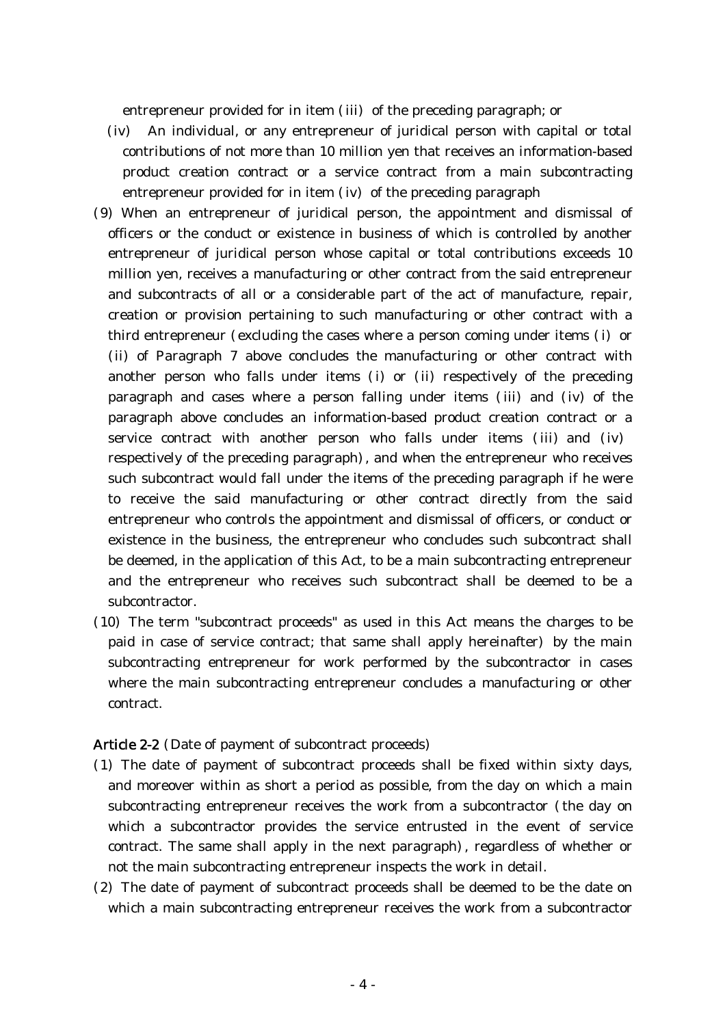entrepreneur provided for in item (iii) of the preceding paragraph; or

- $(iv)$  An individual, or any entrepreneur of juridical person with capital or total contributions of not more than 10 million yen that receives an information-based product creation contract or a service contract from a main subcontracting entrepreneur provided for in item  $(iv)$  of the preceding paragraph
- (9) When an entrepreneur of juridical person, the appointment and dismissal of officers or the conduct or existence in business of which is controlled by another entrepreneur of juridical person whose capital or total contributions exceeds 10 million yen, receives a manufacturing or other contract from the said entrepreneur and subcontracts of all or a considerable part of the act of manufacture, repair, creation or provision pertaining to such manufacturing or other contract with a third entrepreneur (excluding the cases where a person coming under items (i) or (ii) of Paragraph 7 above concludes the manufacturing or other contract with another person who falls under items  $(i)$  or  $(ii)$  respectively of the preceding paragraph and cases where a person falling under items (iii) and (iv) of the paragraph above concludes an information-based product creation contract or a service contract with another person who falls under items (iii) and (iv) respectively of the preceding paragraph), and when the entrepreneur who receives such subcontract would fall under the items of the preceding paragraph if he were to receive the said manufacturing or other contract directly from the said entrepreneur who controls the appointment and dismissal of officers, or conduct or existence in the business, the entrepreneur who concludes such subcontract shall be deemed, in the application of this Act, to be a main subcontracting entrepreneur and the entrepreneur who receives such subcontract shall be deemed to be a subcontractor.
- $(10)$  The term "subcontract proceeds" as used in this Act means the charges to be paid in case of service contract; that same shall apply hereinafter) by the main subcontracting entrepreneur for work performed by the subcontractor in cases where the main subcontracting entrepreneur concludes a manufacturing or other contract.

#### Article 2-2 (Date of payment of subcontract proceeds)

- (1) The date of payment of subcontract proceeds shall be fixed within sixty days, and moreover within as short a period as possible, from the day on which a main subcontracting entrepreneur receives the work from a subcontractor (the day on which a subcontractor provides the service entrusted in the event of service contract. The same shall apply in the next paragraph), regardless of whether or not the main subcontracting entrepreneur inspects the work in detail.
- (2) The date of payment of subcontract proceeds shall be deemed to be the date on which a main subcontracting entrepreneur receives the work from a subcontractor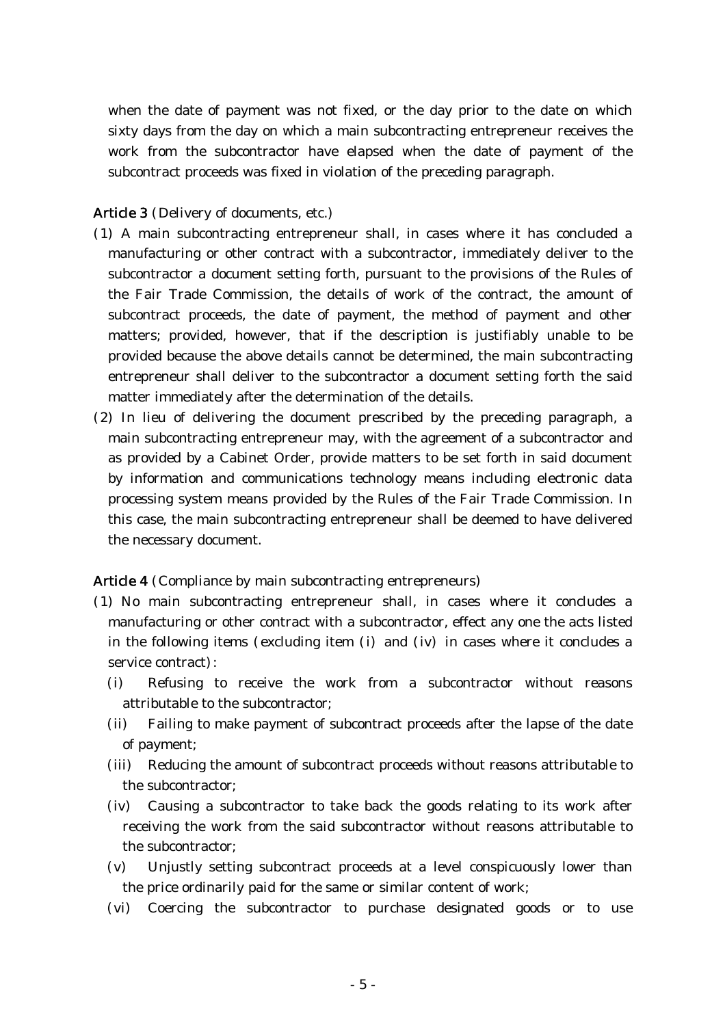when the date of payment was not fixed, or the day prior to the date on which sixty days from the day on which a main subcontracting entrepreneur receives the work from the subcontractor have elapsed when the date of payment of the subcontract proceeds was fixed in violation of the preceding paragraph.

## Article 3 (Delivery of documents, etc.)

- ( )1 A main subcontracting entrepreneur shall, in cases where it has concluded a manufacturing or other contract with a subcontractor, immediately deliver to the subcontractor a document setting forth, pursuant to the provisions of the Rules of the Fair Trade Commission, the details of work of the contract, the amount of subcontract proceeds, the date of payment, the method of payment and other matters; provided, however, that if the description is justifiably unable to be provided because the above details cannot be determined, the main subcontracting entrepreneur shall deliver to the subcontractor a document setting forth the said matter immediately after the determination of the details.
- (2) In lieu of delivering the document prescribed by the preceding paragraph, a main subcontracting entrepreneur may, with the agreement of a subcontractor and as provided by a Cabinet Order, provide matters to be set forth in said document by information and communications technology means including electronic data processing system means provided by the Rules of the Fair Trade Commission. In this case, the main subcontracting entrepreneur shall be deemed to have delivered the necessary document.

## Article 4 (Compliance by main subcontracting entrepreneurs)

- ( )1 No main subcontracting entrepreneur shall, in cases where it concludes a manufacturing or other contract with a subcontractor, effect any one the acts listed in the following items (excluding item  $(i)$  and  $(iv)$  in cases where it concludes a service contract):
	- (i) Refusing to receive the work from a subcontractor without reasons attributable to the subcontractor;
	- (ii) Failing to make payment of subcontract proceeds after the lapse of the date of payment;
	- (iii) Reducing the amount of subcontract proceeds without reasons attributable to the subcontractor;
	- $(iv)$  Causing a subcontractor to take back the goods relating to its work after receiving the work from the said subcontractor without reasons attributable to the subcontractor;
	- $(v)$  Unjustly setting subcontract proceeds at a level conspicuously lower than the price ordinarily paid for the same or similar content of work;
	- (vi) Coercing the subcontractor to purchase designated goods or to use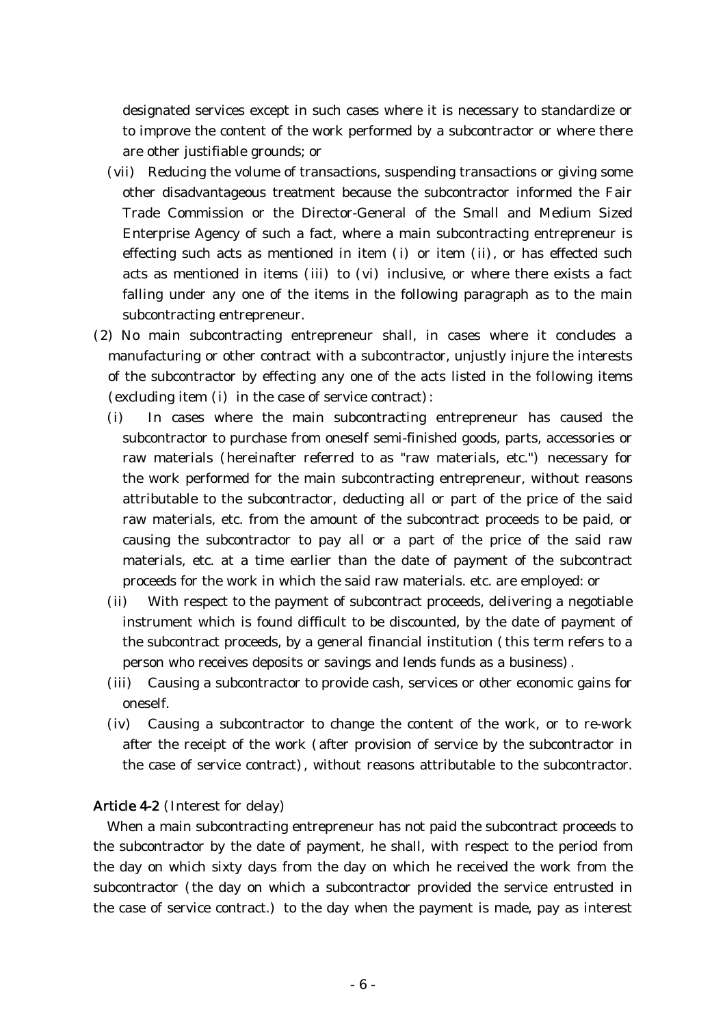designated services except in such cases where it is necessary to standardize or to improve the content of the work performed by a subcontractor or where there are other justifiable grounds; or

- (vii) Reducing the volume of transactions, suspending transactions or giving some other disadvantageous treatment because the subcontractor informed the Fair Trade Commission or the Director-General of the Small and Medium Sized Enterprise Agency of such a fact, where a main subcontracting entrepreneur is effecting such acts as mentioned in item  $(i)$  or item  $(ii)$ , or has effected such acts as mentioned in items (iii) to ( $vi$ ) inclusive, or where there exists a fact falling under any one of the items in the following paragraph as to the main subcontracting entrepreneur.
- (2) No main subcontracting entrepreneur shall, in cases where it concludes a manufacturing or other contract with a subcontractor, unjustly injure the interests of the subcontractor by effecting any one of the acts listed in the following items  $\alpha$  (excluding item (i) in the case of service contract):
	- (i) In cases where the main subcontracting entrepreneur has caused the subcontractor to purchase from oneself semi-finished goods, parts, accessories or raw materials (hereinafter referred to as "raw materials, etc.") necessary for the work performed for the main subcontracting entrepreneur, without reasons attributable to the subcontractor, deducting all or part of the price of the said raw materials, etc. from the amount of the subcontract proceeds to be paid, or causing the subcontractor to pay all or a part of the price of the said raw materials, etc. at a time earlier than the date of payment of the subcontract proceeds for the work in which the said raw materials. etc. are employed: or
	- (ii) With respect to the payment of subcontract proceeds, delivering a negotiable instrument which is found difficult to be discounted, by the date of payment of the subcontract proceeds, by a general financial institution (this term refers to a person who receives deposits or savings and lends funds as a business).
	- (iii) Causing a subcontractor to provide cash, services or other economic gains for oneself.
	- $(iv)$  Causing a subcontractor to change the content of the work, or to re-work after the receipt of the work (after provision of service by the subcontractor in the case of service contract), without reasons attributable to the subcontractor.

#### Article 4-2 (Interest for delay)

When a main subcontracting entrepreneur has not paid the subcontract proceeds to the subcontractor by the date of payment, he shall, with respect to the period from the day on which sixty days from the day on which he received the work from the subcontractor (the day on which a subcontractor provided the service entrusted in the case of service contract.) to the day when the payment is made, pay as interest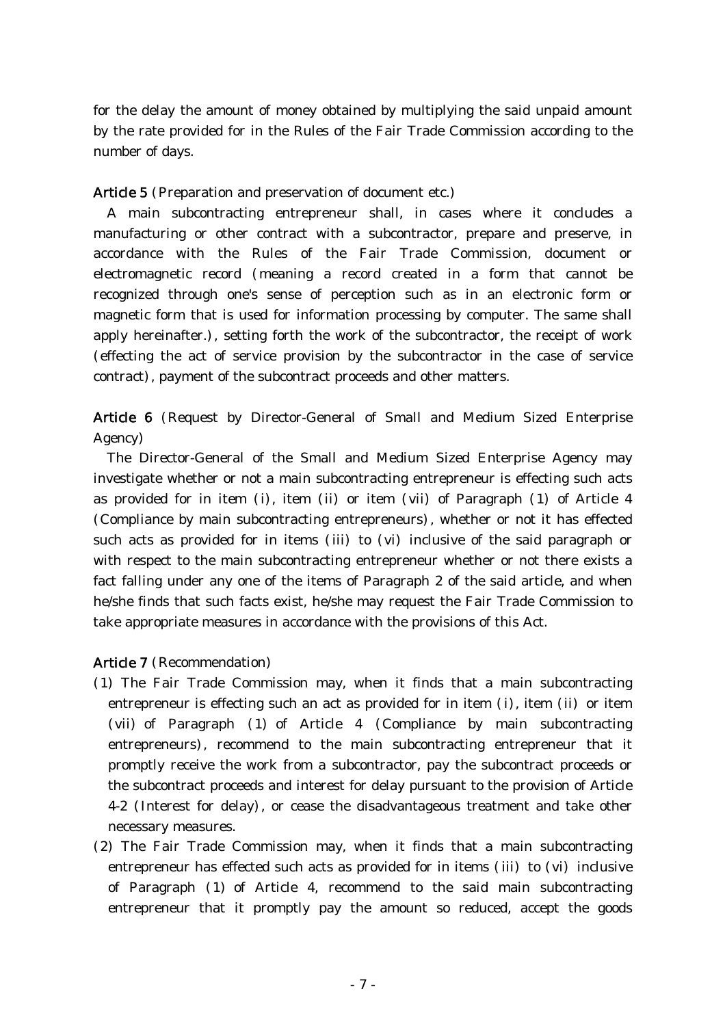for the delay the amount of money obtained by multiplying the said unpaid amount by the rate provided for in the Rules of the Fair Trade Commission according to the number of days.

Article 5 (Preparation and preservation of document etc.)

A main subcontracting entrepreneur shall, in cases where it concludes a manufacturing or other contract with a subcontractor, prepare and preserve, in accordance with the Rules of the Fair Trade Commission, document or electromagnetic record (meaning a record created in a form that cannot be recognized through one's sense of perception such as in an electronic form or magnetic form that is used for information processing by computer. The same shall apply hereinafter.), setting forth the work of the subcontractor, the receipt of work (effecting the act of service provision by the subcontractor in the case of service contract), payment of the subcontract proceeds and other matters.

Article 6 (Request by Director-General of Small and Medium Sized Enterprise Agency)

The Director-General of the Small and Medium Sized Enterprise Agency may investigate whether or not a main subcontracting entrepreneur is effecting such acts as provided for in item  $(i)$ , item  $(ii)$  or item  $(vii)$  of Paragraph  $(1)$  of Article 4 (Compliance by main subcontracting entrepreneurs), whether or not it has effected such acts as provided for in items (iii) to (vi) inclusive of the said paragraph or with respect to the main subcontracting entrepreneur whether or not there exists a fact falling under any one of the items of Paragraph 2 of the said article, and when he/she finds that such facts exist, he/she may request the Fair Trade Commission to take appropriate measures in accordance with the provisions of this Act.

# Article 7 (Recommendation)

- ( )1 The Fair Trade Commission may, when it finds that a main subcontracting entrepreneur is effecting such an act as provided for in item  $(i)$ , item  $(ii)$  or item (vii) of Paragraph (1) of Article 4 (Compliance by main subcontracting entrepreneurs), recommend to the main subcontracting entrepreneur that it promptly receive the work from a subcontractor, pay the subcontract proceeds or the subcontract proceeds and interest for delay pursuant to the provision of Article 4-2 (Interest for delay), or cease the disadvantageous treatment and take other necessary measures.
- $(2)$  The Fair Trade Commission may, when it finds that a main subcontracting entrepreneur has effected such acts as provided for in items (iii) to (vi) inclusive of Paragraph  $(1)$  of Article 4, recommend to the said main subcontracting entrepreneur that it promptly pay the amount so reduced, accept the goods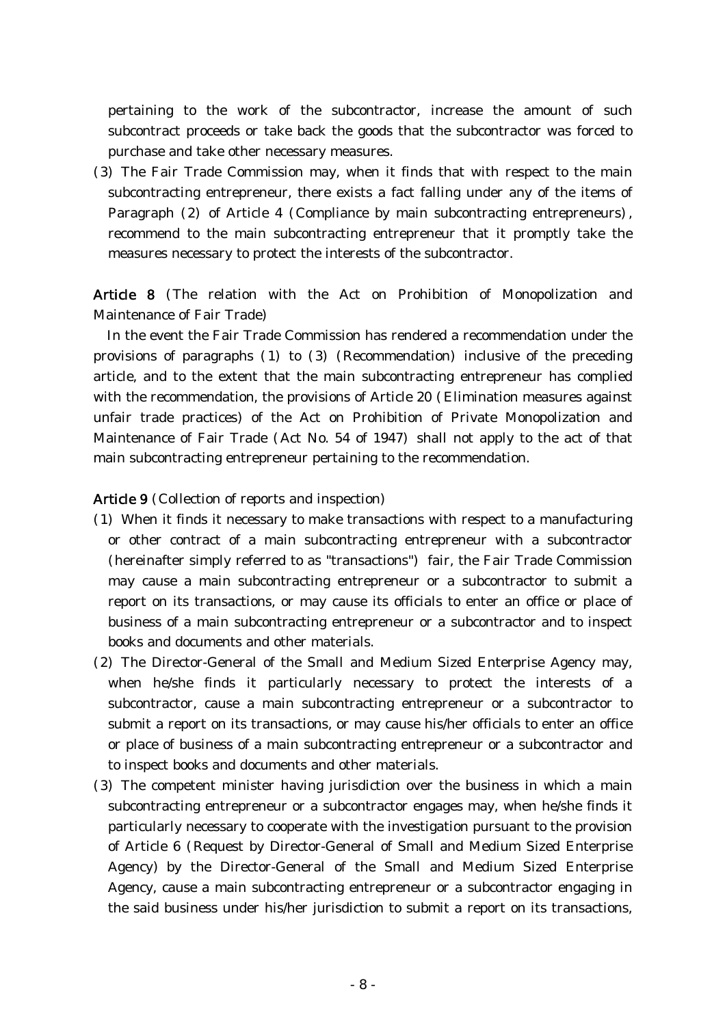pertaining to the work of the subcontractor, increase the amount of such subcontract proceeds or take back the goods that the subcontractor was forced to purchase and take other necessary measures.

(3) The Fair Trade Commission may, when it finds that with respect to the main subcontracting entrepreneur, there exists a fact falling under any of the items of Paragraph  $(2)$  of Article 4 (Compliance by main subcontracting entrepreneurs), recommend to the main subcontracting entrepreneur that it promptly take the measures necessary to protect the interests of the subcontractor.

Article 8 (The relation with the Act on Prohibition of Monopolization and Maintenance of Fair Trade)

In the event the Fair Trade Commission has rendered a recommendation under the provisions of paragraphs  $(1)$  to  $(3)$  (Recommendation) inclusive of the preceding article, and to the extent that the main subcontracting entrepreneur has complied with the recommendation, the provisions of Article 20 (Elimination measures against unfair trade practices) of the Act on Prohibition of Private Monopolization and Maintenance of Fair Trade (Act No. 54 of 1947) shall not apply to the act of that main subcontracting entrepreneur pertaining to the recommendation.

Article 9 (Collection of reports and inspection)

- ( )1 When it finds it necessary to make transactions with respect to a manufacturing or other contract of a main subcontracting entrepreneur with a subcontractor (hereinafter simply referred to as "transactions") fair, the Fair Trade Commission may cause a main subcontracting entrepreneur or a subcontractor to submit a report on its transactions, or may cause its officials to enter an office or place of business of a main subcontracting entrepreneur or a subcontractor and to inspect books and documents and other materials.
- (2) The Director-General of the Small and Medium Sized Enterprise Agency may, when he/she finds it particularly necessary to protect the interests of a subcontractor, cause a main subcontracting entrepreneur or a subcontractor to submit a report on its transactions, or may cause his/her officials to enter an office or place of business of a main subcontracting entrepreneur or a subcontractor and to inspect books and documents and other materials.
- (3) The competent minister having jurisdiction over the business in which a main subcontracting entrepreneur or a subcontractor engages may, when he/she finds it particularly necessary to cooperate with the investigation pursuant to the provision of Article 6 (Request by Director-General of Small and Medium Sized Enterprise Agency) by the Director-General of the Small and Medium Sized Enterprise Agency, cause a main subcontracting entrepreneur or a subcontractor engaging in the said business under his/her jurisdiction to submit a report on its transactions,